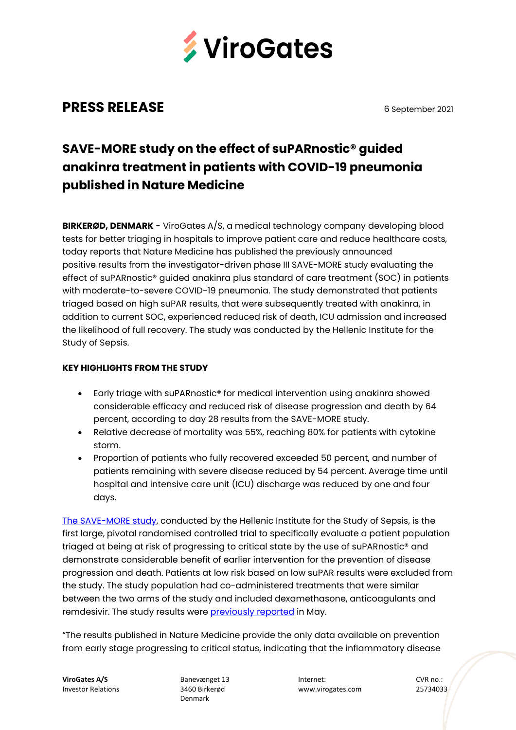

## **PRESS RELEASE** 6 September 2021

# **SAVE-MORE study on the effect of suPARnostic® guided anakinra treatment in patients with COVID-19 pneumonia published in Nature Medicine**

**BIRKERØD, DENMARK** - ViroGates A/S, a medical technology company developing blood tests for better triaging in hospitals to improve patient care and reduce healthcare costs, today reports that Nature Medicine has published the previously announced positive results from the investigator-driven phase III SAVE-MORE study evaluating the effect of suPARnostic® guided anakinra plus standard of care treatment (SOC) in patients with moderate-to-severe COVID-19 pneumonia. The study demonstrated that patients triaged based on high suPAR results, that were subsequently treated with anakinra, in addition to current SOC, experienced reduced risk of death, ICU admission and increased the likelihood of full recovery. The study was conducted by the Hellenic Institute for the Study of Sepsis.

## **KEY HIGHLIGHTS FROM THE STUDY**

- Early triage with suPARnostic® for medical intervention using anakinra showed considerable efficacy and reduced risk of disease progression and death by 64 percent, according to day 28 results from the SAVE-MORE study.
- Relative decrease of mortality was 55%, reaching 80% for patients with cytokine storm.
- Proportion of patients who fully recovered exceeded 50 percent, and number of patients remaining with severe disease reduced by 54 percent. Average time until hospital and intensive care unit (ICU) discharge was reduced by one and four days.

[The SAVE-MORE study,](https://clinicaltrials.gov/ct2/show/NCT04680949) conducted by the Hellenic Institute for the Study of Sepsis, is the first large, pivotal randomised controlled trial to specifically evaluate a patient population triaged at being at risk of progressing to critical state by the use of suPARnostic® and demonstrate considerable benefit of earlier intervention for the prevention of disease progression and death. Patients at low risk based on low suPAR results were excluded from the study. The study population had co-administered treatments that were similar between the two arms of the study and included dexamethasone, anticoagulants and remdesivir. The study results were **[previously reported](https://portalvhds1fxb0jchzgjph.blob.core.windows.net/press-releases-attachments/1305175/20210503-Company%20Announcement%2011_vF.pdf)** in May.

"The results published in Nature Medicine provide the only data available on prevention from early stage progressing to critical status, indicating that the inflammatory disease

Denmark

**ViroGates A/S** Banevænget 13 Internet: CVR no.: Investor Relations 3460 Birkerød www.virogates.com 25734033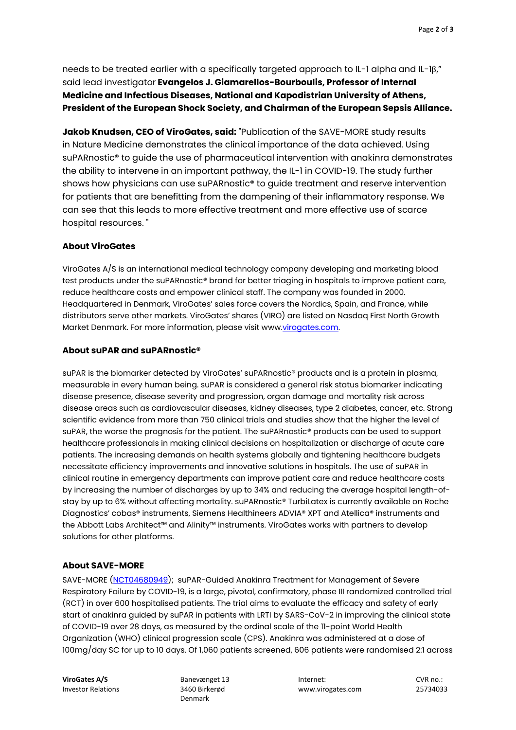needs to be treated earlier with a specifically targeted approach to IL-1 alpha and IL-1β," said lead investigator **Evangelos J. Giamarellos-Bourboulis, Professor of Internal Medicine and Infectious Diseases, National and Kapodistrian University of Athens, President of the European Shock Society, and Chairman of the European Sepsis Alliance.**

**Jakob Knudsen, CEO of ViroGates, said:** "Publication of the SAVE-MORE study results in Nature Medicine demonstrates the clinical importance of the data achieved. Using suPARnostic® to guide the use of pharmaceutical intervention with anakinra demonstrates the ability to intervene in an important pathway, the IL-1 in COVID-19. The study further shows how physicians can use suPARnostic® to guide treatment and reserve intervention for patients that are benefitting from the dampening of their inflammatory response. We can see that this leads to more effective treatment and more effective use of scarce hospital resources. "

#### **About ViroGates**

ViroGates A/S is an international medical technology company developing and marketing blood test products under the suPARnostic® brand for better triaging in hospitals to improve patient care, reduce healthcare costs and empower clinical staff. The company was founded in 2000. Headquartered in Denmark, ViroGates' sales force covers the Nordics, Spain, and France, while distributors serve other markets. ViroGates' shares (VIRO) are listed on Nasdaq First North Growth Market Denmark. For more information, please visit www.virogates.com.

#### **About suPAR and suPARnostic®**

suPAR is the biomarker detected by ViroGates' suPARnostic® products and is a protein in plasma, measurable in every human being. suPAR is considered a general risk status biomarker indicating disease presence, disease severity and progression, organ damage and mortality risk across disease areas such as cardiovascular diseases, kidney diseases, type 2 diabetes, cancer, etc. Strong scientific evidence from more than 750 clinical trials and studies show that the higher the level of suPAR, the worse the prognosis for the patient. The suPARnostic® products can be used to support healthcare professionals in making clinical decisions on hospitalization or discharge of acute care patients. The increasing demands on health systems globally and tightening healthcare budgets necessitate efficiency improvements and innovative solutions in hospitals. The use of suPAR in clinical routine in emergency departments can improve patient care and reduce healthcare costs by increasing the number of discharges by up to 34% and reducing the average hospital length-ofstay by up to 6% without affecting mortality. suPARnostic® TurbiLatex is currently available on Roche Diagnostics' cobas® instruments, Siemens Healthineers ADVIA® XPT and Atellica® instruments and the Abbott Labs Architect™ and Alinity™ instruments. ViroGates works with partners to develop solutions for other platforms.

#### **About SAVE-MORE**

SAVE-MORE [\(NCT04680949\)](https://clinicaltrials.gov/show/NCT04680949%22%20/o%20%22Current%20version%20of%20study%20NCT04680949%20on%20ClinicalTrials.gov); suPAR-Guided Anakinra Treatment for Management of Severe Respiratory Failure by COVID-19, is a large, pivotal, confirmatory, phase III randomized controlled trial (RCT) in over 600 hospitalised patients. The trial aims to evaluate the efficacy and safety of early start of anakinra guided by suPAR in patients with LRTI by SARS-CoV-2 in improving the clinical state of COVID-19 over 28 days, as measured by the ordinal scale of the 11-point World Health Organization (WHO) clinical progression scale (CPS). Anakinra was administered at a dose of 100mg/day SC for up to 10 days. Of 1,060 patients screened, 606 patients were randomised 2:1 across

Denmark

**ViroGates A/S** Banevænget 13 Internet: CVR no.: Investor Relations 3460 Birkerød www.virogates.com 25734033